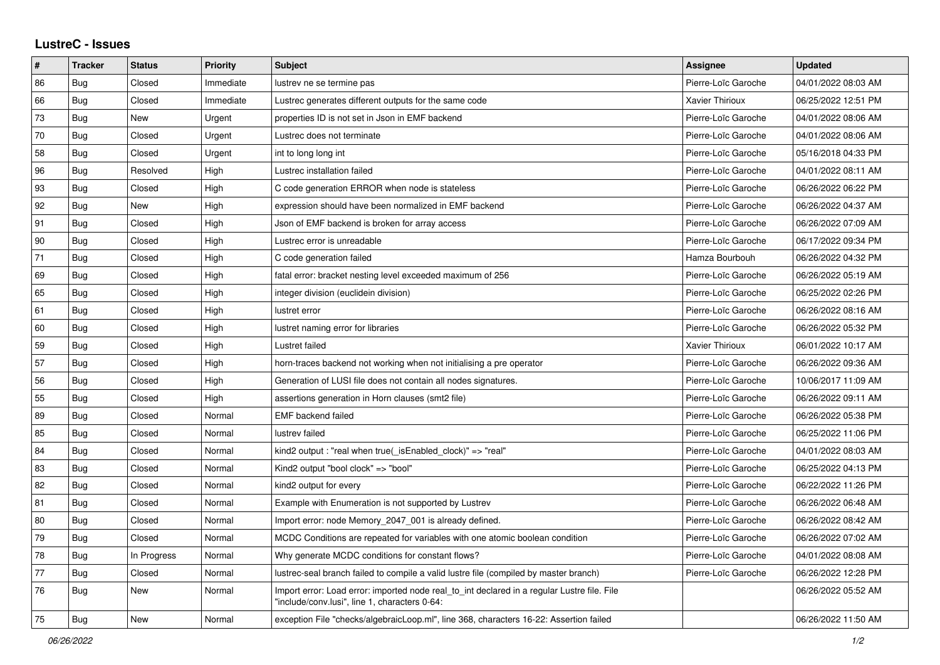## **LustreC - Issues**

| ∦  | <b>Tracker</b> | <b>Status</b> | Priority  | <b>Subject</b>                                                                                                                               | Assignee               | <b>Updated</b>      |
|----|----------------|---------------|-----------|----------------------------------------------------------------------------------------------------------------------------------------------|------------------------|---------------------|
| 86 | Bug            | Closed        | Immediate | lustrev ne se termine pas                                                                                                                    | Pierre-Loïc Garoche    | 04/01/2022 08:03 AM |
| 66 | Bug            | Closed        | Immediate | Lustrec generates different outputs for the same code                                                                                        | <b>Xavier Thirioux</b> | 06/25/2022 12:51 PM |
| 73 | Bug            | New           | Urgent    | properties ID is not set in Json in EMF backend                                                                                              | Pierre-Loïc Garoche    | 04/01/2022 08:06 AM |
| 70 | Bug            | Closed        | Urgent    | Lustrec does not terminate                                                                                                                   | Pierre-Loïc Garoche    | 04/01/2022 08:06 AM |
| 58 | Bug            | Closed        | Urgent    | int to long long int                                                                                                                         | Pierre-Loïc Garoche    | 05/16/2018 04:33 PM |
| 96 | <b>Bug</b>     | Resolved      | High      | Lustrec installation failed                                                                                                                  | Pierre-Loïc Garoche    | 04/01/2022 08:11 AM |
| 93 | Bug            | Closed        | High      | C code generation ERROR when node is stateless                                                                                               | Pierre-Loïc Garoche    | 06/26/2022 06:22 PM |
| 92 | Bug            | New           | High      | expression should have been normalized in EMF backend                                                                                        | Pierre-Loïc Garoche    | 06/26/2022 04:37 AM |
| 91 | <b>Bug</b>     | Closed        | High      | Json of EMF backend is broken for array access                                                                                               | Pierre-Loïc Garoche    | 06/26/2022 07:09 AM |
| 90 | Bug            | Closed        | High      | Lustrec error is unreadable                                                                                                                  | Pierre-Loïc Garoche    | 06/17/2022 09:34 PM |
| 71 | Bug            | Closed        | High      | C code generation failed                                                                                                                     | Hamza Bourbouh         | 06/26/2022 04:32 PM |
| 69 | Bug            | Closed        | High      | fatal error: bracket nesting level exceeded maximum of 256                                                                                   | Pierre-Loïc Garoche    | 06/26/2022 05:19 AM |
| 65 | Bug            | Closed        | High      | integer division (euclidein division)                                                                                                        | Pierre-Loïc Garoche    | 06/25/2022 02:26 PM |
| 61 | Bug            | Closed        | High      | lustret error                                                                                                                                | Pierre-Loïc Garoche    | 06/26/2022 08:16 AM |
| 60 | Bug            | Closed        | High      | lustret naming error for libraries                                                                                                           | Pierre-Loïc Garoche    | 06/26/2022 05:32 PM |
| 59 | <b>Bug</b>     | Closed        | High      | Lustret failed                                                                                                                               | Xavier Thirioux        | 06/01/2022 10:17 AM |
| 57 | Bug            | Closed        | High      | horn-traces backend not working when not initialising a pre operator                                                                         | Pierre-Loïc Garoche    | 06/26/2022 09:36 AM |
| 56 | Bug            | Closed        | High      | Generation of LUSI file does not contain all nodes signatures.                                                                               | Pierre-Loïc Garoche    | 10/06/2017 11:09 AM |
| 55 | Bug            | Closed        | High      | assertions generation in Horn clauses (smt2 file)                                                                                            | Pierre-Loïc Garoche    | 06/26/2022 09:11 AM |
| 89 | Bug            | Closed        | Normal    | <b>EMF</b> backend failed                                                                                                                    | Pierre-Loïc Garoche    | 06/26/2022 05:38 PM |
| 85 | Bug            | Closed        | Normal    | lustrev failed                                                                                                                               | Pierre-Loïc Garoche    | 06/25/2022 11:06 PM |
| 84 | Bug            | Closed        | Normal    | kind2 output : "real when true( isEnabled clock)" => "real"                                                                                  | Pierre-Loïc Garoche    | 04/01/2022 08:03 AM |
| 83 | <b>Bug</b>     | Closed        | Normal    | Kind2 output "bool clock" => "bool"                                                                                                          | Pierre-Loïc Garoche    | 06/25/2022 04:13 PM |
| 82 | Bug            | Closed        | Normal    | kind2 output for every                                                                                                                       | Pierre-Loïc Garoche    | 06/22/2022 11:26 PM |
| 81 | Bug            | Closed        | Normal    | Example with Enumeration is not supported by Lustrev                                                                                         | Pierre-Loïc Garoche    | 06/26/2022 06:48 AM |
| 80 | <b>Bug</b>     | Closed        | Normal    | Import error: node Memory 2047 001 is already defined.                                                                                       | Pierre-Loïc Garoche    | 06/26/2022 08:42 AM |
| 79 | Bug            | Closed        | Normal    | MCDC Conditions are repeated for variables with one atomic boolean condition                                                                 | Pierre-Loïc Garoche    | 06/26/2022 07:02 AM |
| 78 | Bug            | In Progress   | Normal    | Why generate MCDC conditions for constant flows?                                                                                             | Pierre-Loïc Garoche    | 04/01/2022 08:08 AM |
| 77 | <b>Bug</b>     | Closed        | Normal    | lustrec-seal branch failed to compile a valid lustre file (compiled by master branch)                                                        | Pierre-Loïc Garoche    | 06/26/2022 12:28 PM |
| 76 | Bug            | New           | Normal    | Import error: Load error: imported node real to int declared in a regular Lustre file. File<br>"include/conv.lusi". line 1. characters 0-64: |                        | 06/26/2022 05:52 AM |
| 75 | <b>Bug</b>     | <b>New</b>    | Normal    | exception File "checks/algebraicLoop.ml", line 368, characters 16-22: Assertion failed                                                       |                        | 06/26/2022 11:50 AM |